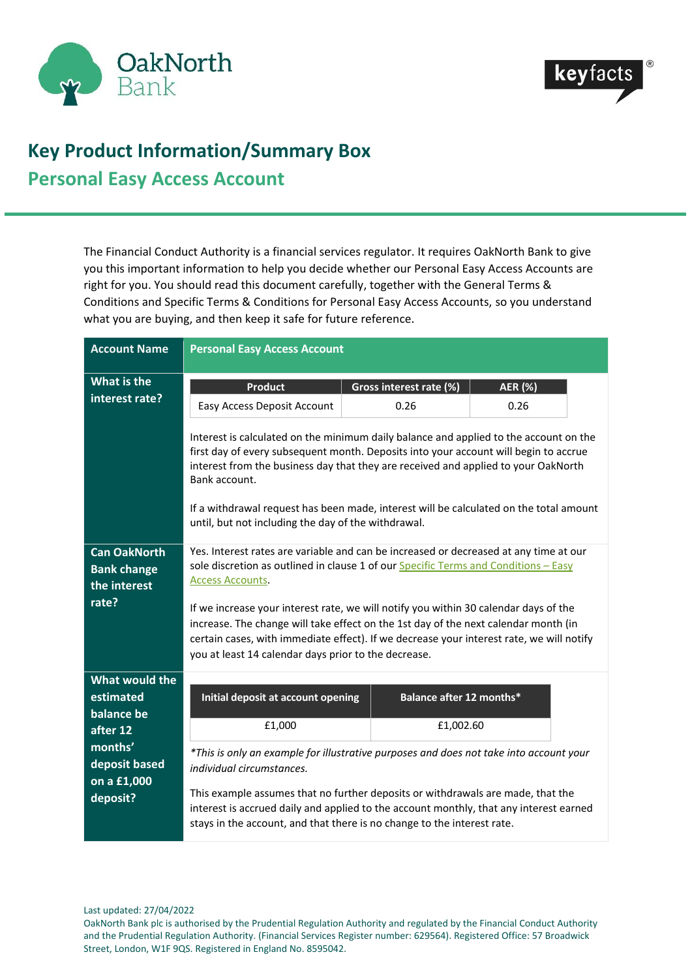



## **Key Product Information/Summary Box Personal Easy Access Account**

The Financial Conduct Authority is a financial services regulator. It requires OakNorth Bank to give you this important information to help you decide whether our Personal Easy Access Accounts are right for you. You should read this document carefully, together with the General Terms & Conditions and Specific Terms & Conditions for Personal Easy Access Accounts, so you understand what you are buying, and then keep it safe for future reference.

| <b>Account Name</b>                                                | <b>Personal Easy Access Account</b>                                                                                                                                                                                                                                                                                                                                                                                                                                                                                                        |                          |                |
|--------------------------------------------------------------------|--------------------------------------------------------------------------------------------------------------------------------------------------------------------------------------------------------------------------------------------------------------------------------------------------------------------------------------------------------------------------------------------------------------------------------------------------------------------------------------------------------------------------------------------|--------------------------|----------------|
| What is the                                                        | <b>Product</b>                                                                                                                                                                                                                                                                                                                                                                                                                                                                                                                             | Gross interest rate (%)  | <b>AER (%)</b> |
| interest rate?                                                     | Easy Access Deposit Account                                                                                                                                                                                                                                                                                                                                                                                                                                                                                                                | 0.26                     | 0.26           |
|                                                                    | Interest is calculated on the minimum daily balance and applied to the account on the<br>first day of every subsequent month. Deposits into your account will begin to accrue<br>interest from the business day that they are received and applied to your OakNorth<br>Bank account.<br>If a withdrawal request has been made, interest will be calculated on the total amount<br>until, but not including the day of the withdrawal.                                                                                                      |                          |                |
| <b>Can OakNorth</b><br><b>Bank change</b><br>the interest<br>rate? | Yes. Interest rates are variable and can be increased or decreased at any time at our<br>sole discretion as outlined in clause 1 of our Specific Terms and Conditions - Easy<br><b>Access Accounts.</b><br>If we increase your interest rate, we will notify you within 30 calendar days of the<br>increase. The change will take effect on the 1st day of the next calendar month (in<br>certain cases, with immediate effect). If we decrease your interest rate, we will notify<br>you at least 14 calendar days prior to the decrease. |                          |                |
| <b>What would the</b>                                              |                                                                                                                                                                                                                                                                                                                                                                                                                                                                                                                                            |                          |                |
| estimated                                                          | Initial deposit at account opening                                                                                                                                                                                                                                                                                                                                                                                                                                                                                                         | Balance after 12 months* |                |
| balance be<br>after 12                                             | £1,000                                                                                                                                                                                                                                                                                                                                                                                                                                                                                                                                     | £1,002.60                |                |
| months'<br>deposit based                                           | *This is only an example for illustrative purposes and does not take into account your<br>individual circumstances.                                                                                                                                                                                                                                                                                                                                                                                                                        |                          |                |
| on a £1,000<br>deposit?                                            | This example assumes that no further deposits or withdrawals are made, that the<br>interest is accrued daily and applied to the account monthly, that any interest earned<br>stays in the account, and that there is no change to the interest rate.                                                                                                                                                                                                                                                                                       |                          |                |

Last updated: 27/04/2022

OakNorth Bank plc is authorised by the Prudential Regulation Authority and regulated by the Financial Conduct Authority and the Prudential Regulation Authority. (Financial Services Register number: 629564). Registered Office: 57 Broadwick Street, London, W1F 9QS. Registered in England No. 8595042.